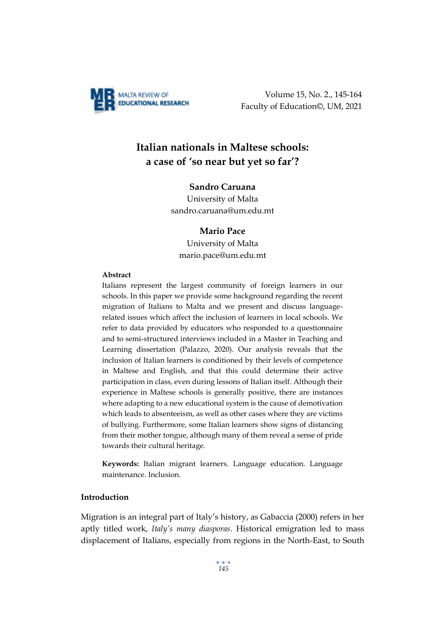

Volume 15, No. 2., 145-164 Faculty of Education©, UM, 2021

# **Italian nationals in Maltese schools: a case of 'so near but yet so far'?**

#### **Sandro Caruana**

University of Malta sandro.caruana@um.edu.mt

#### **Mario Pace**

University of Malta mario.pace@um.edu.mt

#### **Abstract**

Italians represent the largest community of foreign learners in our schools. In this paper we provide some background regarding the recent migration of Italians to Malta and we present and discuss languagerelated issues which affect the inclusion of learners in local schools. We refer to data provided by educators who responded to a questionnaire and to semi-structured interviews included in a Master in Teaching and Learning dissertation (Palazzo, 2020). Our analysis reveals that the inclusion of Italian learners is conditioned by their levels of competence in Maltese and English, and that this could determine their active participation in class, even during lessons of Italian itself. Although their experience in Maltese schools is generally positive, there are instances where adapting to a new educational system is the cause of demotivation which leads to absenteeism, as well as other cases where they are victims of bullying. Furthermore, some Italian learners show signs of distancing from their mother tongue, although many of them reveal a sense of pride towards their cultural heritage.

**Keywords:** Italian migrant learners. Language education. Language maintenance. Inclusion.

# **Introduction**

Migration is an integral part of Italy's history, as Gabaccia (2000) refers in her aptly titled work, *Italy's many diasporas*. Historical emigration led to mass displacement of Italians, especially from regions in the North-East, to South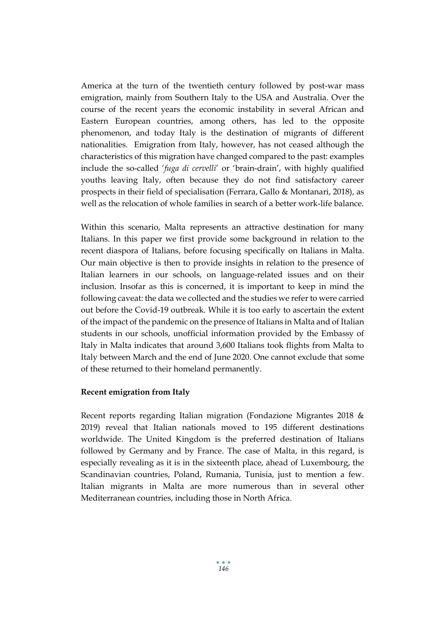America at the turn of the twentieth century followed by post-war mass emigration, mainly from Southern Italy to the USA and Australia. Over the course of the recent years the economic instability in several African and Eastern European countries, among others, has led to the opposite phenomenon, and today Italy is the destination of migrants of different nationalities. Emigration from Italy, however, has not ceased although the characteristics of this migration have changed compared to the past: examples include the so-called '*fuga di cervelli*' or 'brain-drain', with highly qualified youths leaving Italy, often because they do not find satisfactory career prospects in their field of specialisation (Ferrara, Gallo & Montanari, 2018), as well as the relocation of whole families in search of a better work-life balance.

Within this scenario, Malta represents an attractive destination for many Italians. In this paper we first provide some background in relation to the recent diaspora of Italians, before focusing specifically on Italians in Malta. Our main objective is then to provide insights in relation to the presence of Italian learners in our schools, on language-related issues and on their inclusion. Insofar as this is concerned, it is important to keep in mind the following caveat: the data we collected and the studies we refer to were carried out before the Covid-19 outbreak. While it is too early to ascertain the extent of the impact of the pandemic on the presence of Italians in Malta and of Italian students in our schools, unofficial information provided by the Embassy of Italy in Malta indicates that around 3,600 Italians took flights from Malta to Italy between March and the end of June 2020. One cannot exclude that some of these returned to their homeland permanently.

# **Recent emigration from Italy**

Recent reports regarding Italian migration (Fondazione Migrantes 2018 & 2019) reveal that Italian nationals moved to 195 different destinations worldwide. The United Kingdom is the preferred destination of Italians followed by Germany and by France. The case of Malta, in this regard, is especially revealing as it is in the sixteenth place, ahead of Luxembourg, the Scandinavian countries, Poland, Rumania, Tunisia, just to mention a few. Italian migrants in Malta are more numerous than in several other Mediterranean countries, including those in North Africa.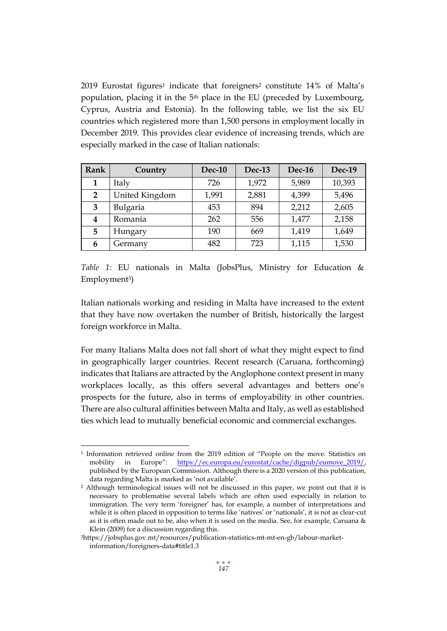2019 Eurostat figures<sup>1</sup> indicate that foreigners<sup>2</sup> constitute 14% of Malta's population, placing it in the 5th place in the EU (preceded by Luxembourg, Cyprus, Austria and Estonia). In the following table, we list the six EU countries which registered more than 1,500 persons in employment locally in December 2019. This provides clear evidence of increasing trends, which are especially marked in the case of Italian nationals:

| Rank           | Country        | Dec-10 | Dec-13 | Dec-16 | Dec-19 |
|----------------|----------------|--------|--------|--------|--------|
| 1              | Italy          | 726    | 1,972  | 5,989  | 10,393 |
| $\overline{2}$ | United Kingdom | 1,991  | 2,881  | 4,399  | 5,496  |
| 3              | Bulgaria       | 453    | 894    | 2,212  | 2,605  |
| 4              | Romania        | 262    | 556    | 1,477  | 2,158  |
| 5              | Hungary        | 190    | 669    | 1,419  | 1,649  |
| 6              | Germany        | 482    | 723    | 1,115  | 1,530  |

*Table 1*: EU nationals in Malta (JobsPlus, Ministry for Education & Employment3)

Italian nationals working and residing in Malta have increased to the extent that they have now overtaken the number of British, historically the largest foreign workforce in Malta.

For many Italians Malta does not fall short of what they might expect to find in geographically larger countries. Recent research (Caruana, forthcoming) indicates that Italians are attracted by the Anglophone context present in many workplaces locally, as this offers several advantages and betters one's prospects for the future, also in terms of employability in other countries. There are also cultural affinities between Malta and Italy, as well as established ties which lead to mutually beneficial economic and commercial exchanges.

<sup>1</sup> Information retrieved online from the 2019 edition of "People on the move. Statistics on mobility in Europe": [https://ec.europa.eu/eurostat/cache/digpub/eumove\\_2019/,](https://ec.europa.eu/eurostat/cache/digpub/eumove_2019/)  published by the European Commission. Although there is a 2020 version of this publication, data regarding Malta is marked as 'not available'.

<sup>2</sup> Although terminological issues will not be discussed in this paper, we point out that it is necessary to problematise several labels which are often used especially in relation to immigration. The very term 'foreigner' has, for example, a number of interpretations and while it is often placed in opposition to terms like 'natives' or 'nationals', it is not as clear-cut as it is often made out to be, also when it is used on the media. See, for example, Caruana & Klein (2009) for a discussion regarding this.

<sup>3</sup>https://jobsplus.gov.mt/resources/publication-statistics-mt-mt-en-gb/labour-marketinformation/foreigners-data#title1.3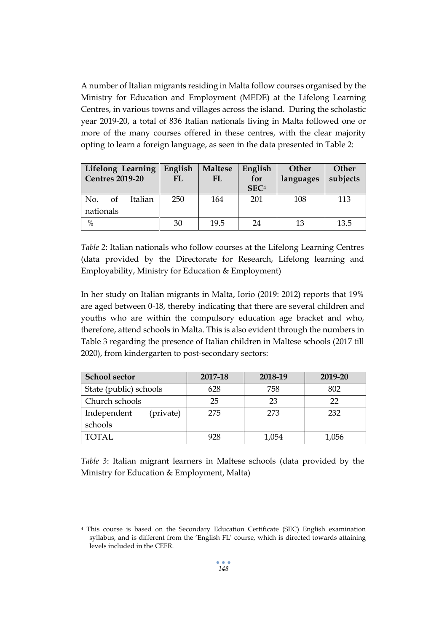A number of Italian migrants residing in Malta follow courses organised by the Ministry for Education and Employment (MEDE) at the Lifelong Learning Centres, in various towns and villages across the island. During the scholastic year 2019-20, a total of 836 Italian nationals living in Malta followed one or more of the many courses offered in these centres, with the clear majority opting to learn a foreign language, as seen in the data presented in Table 2:

| Lifelong Learning<br><b>Centres 2019-20</b> | English<br>FL | <b>Maltese</b><br>FL | English<br>for<br>SEC <sup>4</sup> | Other<br>languages | Other<br>subjects |
|---------------------------------------------|---------------|----------------------|------------------------------------|--------------------|-------------------|
| No.<br>Italian<br>of                        | 250           | 164                  | 201                                | 108                | 113               |
| nationals                                   |               |                      |                                    |                    |                   |
| $\frac{0}{0}$                               | 30            | 19.5                 | 24                                 | 13                 | 13.5              |

*Table 2*: Italian nationals who follow courses at the Lifelong Learning Centres (data provided by the Directorate for Research, Lifelong learning and Employability, Ministry for Education & Employment)

In her study on Italian migrants in Malta, Iorio (2019: 2012) reports that 19% are aged between 0-18, thereby indicating that there are several children and youths who are within the compulsory education age bracket and who, therefore, attend schools in Malta. This is also evident through the numbers in Table 3 regarding the presence of Italian children in Maltese schools (2017 till 2020), from kindergarten to post-secondary sectors:

| <b>School sector</b>     | 2017-18 | 2018-19 | 2019-20 |
|--------------------------|---------|---------|---------|
| State (public) schools   | 628     | 758     | 802     |
| Church schools           | 25      | 23      | フフ      |
| Independent<br>(private) | 275     | 273     | 232     |
| schools                  |         |         |         |
| <b>TOTAL</b>             | 928     | 1,054   | 1,056   |

*Table 3*: Italian migrant learners in Maltese schools (data provided by the Ministry for Education & Employment, Malta)

<sup>4</sup> This course is based on the Secondary Education Certificate (SEC) English examination syllabus, and is different from the 'English FL' course, which is directed towards attaining levels included in the CEFR.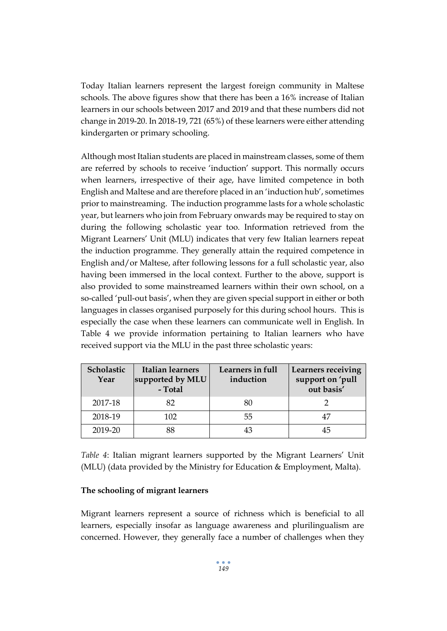Today Italian learners represent the largest foreign community in Maltese schools. The above figures show that there has been a 16% increase of Italian learners in our schools between 2017 and 2019 and that these numbers did not change in 2019-20. In 2018-19, 721 (65%) of these learners were either attending kindergarten or primary schooling.

Although most Italian students are placed in mainstream classes, some of them are referred by schools to receive 'induction' support. This normally occurs when learners, irrespective of their age, have limited competence in both English and Maltese and are therefore placed in an 'induction hub', sometimes prior to mainstreaming. The induction programme lasts for a whole scholastic year, but learners who join from February onwards may be required to stay on during the following scholastic year too. Information retrieved from the Migrant Learners' Unit (MLU) indicates that very few Italian learners repeat the induction programme. They generally attain the required competence in English and/or Maltese, after following lessons for a full scholastic year, also having been immersed in the local context. Further to the above, support is also provided to some mainstreamed learners within their own school, on a so-called 'pull-out basis', when they are given special support in either or both languages in classes organised purposely for this during school hours. This is especially the case when these learners can communicate well in English. In Table 4 we provide information pertaining to Italian learners who have received support via the MLU in the past three scholastic years:

| Scholastic<br>Year | Italian learners<br>supported by MLU<br>- Total | Learners in full<br>induction | <b>Learners receiving</b><br>support on 'pull<br>out basis' |
|--------------------|-------------------------------------------------|-------------------------------|-------------------------------------------------------------|
| 2017-18            | 82                                              | 80                            |                                                             |
| 2018-19            | 102                                             | 55                            | 47                                                          |
| 2019-20            | 88                                              | 43                            | 45                                                          |

*Table 4*: Italian migrant learners supported by the Migrant Learners' Unit (MLU) (data provided by the Ministry for Education & Employment, Malta).

## **The schooling of migrant learners**

Migrant learners represent a source of richness which is beneficial to all learners, especially insofar as language awareness and plurilingualism are concerned. However, they generally face a number of challenges when they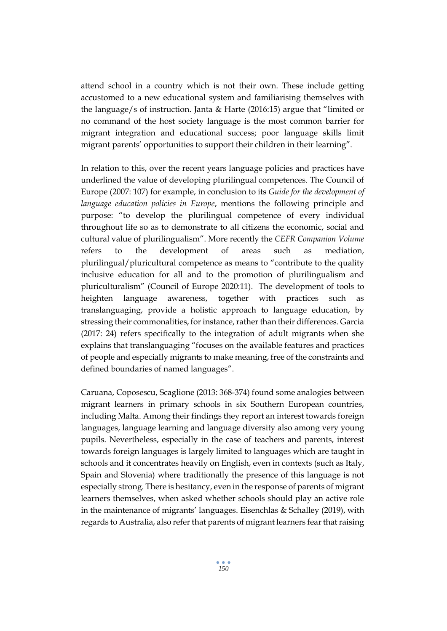attend school in a country which is not their own. These include getting accustomed to a new educational system and familiarising themselves with the language/s of instruction. Janta & Harte (2016:15) argue that "limited or no command of the host society language is the most common barrier for migrant integration and educational success; poor language skills limit migrant parents' opportunities to support their children in their learning".

In relation to this, over the recent years language policies and practices have underlined the value of developing plurilingual competences. The Council of Europe (2007: 107) for example, in conclusion to its *Guide for the development of language education policies in Europe*, mentions the following principle and purpose: "to develop the plurilingual competence of every individual throughout life so as to demonstrate to all citizens the economic, social and cultural value of plurilingualism". More recently the *CEFR Companion Volume* refers to the development of areas such as mediation, plurilingual/pluricultural competence as means to "contribute to the quality inclusive education for all and to the promotion of plurilingualism and pluriculturalism" (Council of Europe 2020:11). The development of tools to heighten language awareness, together with practices such as translanguaging, provide a holistic approach to language education, by stressing their commonalities, for instance, rather than their differences. Garcia (2017: 24) refers specifically to the integration of adult migrants when she explains that translanguaging "focuses on the available features and practices of people and especially migrants to make meaning, free of the constraints and defined boundaries of named languages".

Caruana, Coposescu, Scaglione (2013: 368-374) found some analogies between migrant learners in primary schools in six Southern European countries, including Malta. Among their findings they report an interest towards foreign languages, language learning and language diversity also among very young pupils. Nevertheless, especially in the case of teachers and parents, interest towards foreign languages is largely limited to languages which are taught in schools and it concentrates heavily on English, even in contexts (such as Italy, Spain and Slovenia) where traditionally the presence of this language is not especially strong. There is hesitancy, even in the response of parents of migrant learners themselves, when asked whether schools should play an active role in the maintenance of migrants' languages. Eisenchlas & Schalley (2019), with regards to Australia, also refer that parents of migrant learners fear that raising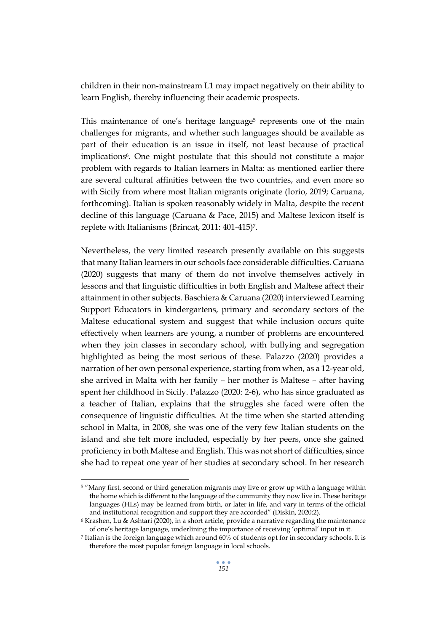children in their non-mainstream L1 may impact negatively on their ability to learn English, thereby influencing their academic prospects.

This maintenance of one's heritage language<sup>5</sup> represents one of the main challenges for migrants, and whether such languages should be available as part of their education is an issue in itself, not least because of practical implications<sup>6</sup>. One might postulate that this should not constitute a major problem with regards to Italian learners in Malta: as mentioned earlier there are several cultural affinities between the two countries, and even more so with Sicily from where most Italian migrants originate (Iorio, 2019; Caruana, forthcoming). Italian is spoken reasonably widely in Malta, despite the recent decline of this language (Caruana & Pace, 2015) and Maltese lexicon itself is replete with Italianisms (Brincat, 2011: 401-415)7.

Nevertheless, the very limited research presently available on this suggests that many Italian learners in our schools face considerable difficulties. Caruana (2020) suggests that many of them do not involve themselves actively in lessons and that linguistic difficulties in both English and Maltese affect their attainment in other subjects. Baschiera & Caruana (2020) interviewed Learning Support Educators in kindergartens, primary and secondary sectors of the Maltese educational system and suggest that while inclusion occurs quite effectively when learners are young, a number of problems are encountered when they join classes in secondary school, with bullying and segregation highlighted as being the most serious of these. Palazzo (2020) provides a narration of her own personal experience, starting from when, as a 12-year old, she arrived in Malta with her family – her mother is Maltese – after having spent her childhood in Sicily. Palazzo (2020: 2-6), who has since graduated as a teacher of Italian, explains that the struggles she faced were often the consequence of linguistic difficulties. At the time when she started attending school in Malta, in 2008, she was one of the very few Italian students on the island and she felt more included, especially by her peers, once she gained proficiency in both Maltese and English. This was not short of difficulties, since she had to repeat one year of her studies at secondary school. In her research

<sup>5</sup> "Many first, second or third generation migrants may live or grow up with a language within the home which is different to the language of the community they now live in. These heritage languages (HLs) may be learned from birth, or later in life, and vary in terms of the official and institutional recognition and support they are accorded" (Diskin, 2020:2).

<sup>6</sup> Krashen, Lu & Ashtari (2020), in a short article, provide a narrative regarding the maintenance of one's heritage language, underlining the importance of receiving 'optimal' input in it.

<sup>7</sup> Italian is the foreign language which around 60% of students opt for in secondary schools. It is therefore the most popular foreign language in local schools.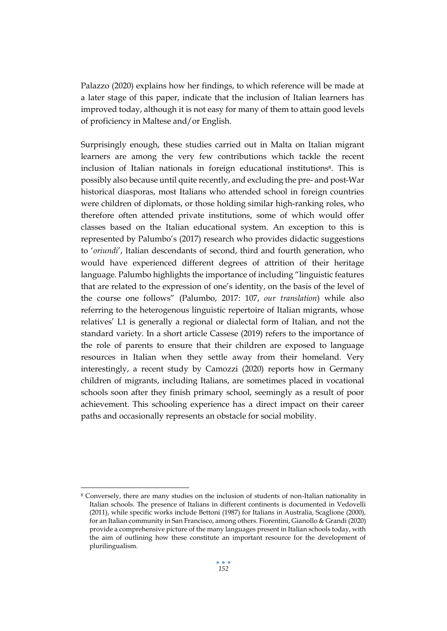Palazzo (2020) explains how her findings, to which reference will be made at a later stage of this paper, indicate that the inclusion of Italian learners has improved today, although it is not easy for many of them to attain good levels of proficiency in Maltese and/or English.

Surprisingly enough, these studies carried out in Malta on Italian migrant learners are among the very few contributions which tackle the recent inclusion of Italian nationals in foreign educational institutions8. This is possibly also because until quite recently, and excluding the pre- and post-War historical diasporas, most Italians who attended school in foreign countries were children of diplomats, or those holding similar high-ranking roles, who therefore often attended private institutions, some of which would offer classes based on the Italian educational system. An exception to this is represented by Palumbo's (2017) research who provides didactic suggestions to '*oriundi*', Italian descendants of second, third and fourth generation, who would have experienced different degrees of attrition of their heritage language. Palumbo highlights the importance of including "linguistic features that are related to the expression of one's identity, on the basis of the level of the course one follows" (Palumbo, 2017: 107, *our translation*) while also referring to the heterogenous linguistic repertoire of Italian migrants, whose relatives' L1 is generally a regional or dialectal form of Italian, and not the standard variety. In a short article Cassese (2019) refers to the importance of the role of parents to ensure that their children are exposed to language resources in Italian when they settle away from their homeland. Very interestingly, a recent study by Camozzi (2020) reports how in Germany children of migrants, including Italians, are sometimes placed in vocational schools soon after they finish primary school, seemingly as a result of poor achievement. This schooling experience has a direct impact on their career paths and occasionally represents an obstacle for social mobility.

<sup>8</sup> Conversely, there are many studies on the inclusion of students of non-Italian nationality in Italian schools. The presence of Italians in different continents is documented in Vedovelli (2011), while specific works include Bettoni (1987) for Italians in Australia, Scaglione (2000), for an Italian community in San Francisco, among others. Fiorentini, Gianollo & Grandi (2020) provide a comprehensive picture of the many languages present in Italian schools today, with the aim of outlining how these constitute an important resource for the development of plurilingualism.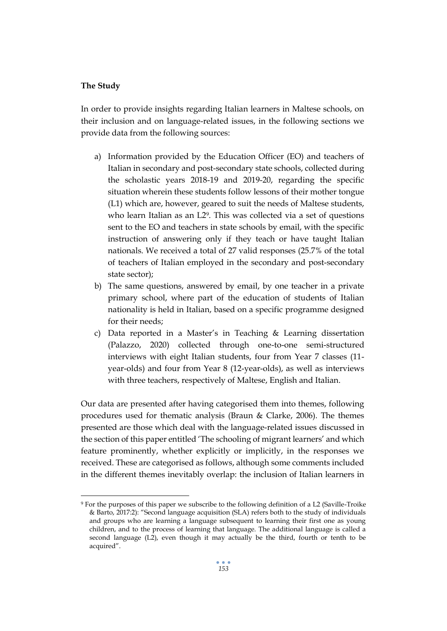#### **The Study**

In order to provide insights regarding Italian learners in Maltese schools, on their inclusion and on language-related issues, in the following sections we provide data from the following sources:

- a) Information provided by the Education Officer (EO) and teachers of Italian in secondary and post-secondary state schools, collected during the scholastic years 2018-19 and 2019-20, regarding the specific situation wherein these students follow lessons of their mother tongue (L1) which are, however, geared to suit the needs of Maltese students, who learn Italian as an L2<sup>9</sup>. This was collected via a set of questions sent to the EO and teachers in state schools by email, with the specific instruction of answering only if they teach or have taught Italian nationals. We received a total of 27 valid responses (25.7% of the total of teachers of Italian employed in the secondary and post-secondary state sector);
- b) The same questions, answered by email, by one teacher in a private primary school, where part of the education of students of Italian nationality is held in Italian, based on a specific programme designed for their needs;
- c) Data reported in a Master's in Teaching & Learning dissertation (Palazzo, 2020) collected through one-to-one semi-structured interviews with eight Italian students, four from Year 7 classes (11 year-olds) and four from Year 8 (12-year-olds), as well as interviews with three teachers, respectively of Maltese, English and Italian.

Our data are presented after having categorised them into themes, following procedures used for thematic analysis (Braun & Clarke, 2006). The themes presented are those which deal with the language-related issues discussed in the section of this paper entitled 'The schooling of migrant learners' and which feature prominently, whether explicitly or implicitly, in the responses we received. These are categorised as follows, although some comments included in the different themes inevitably overlap: the inclusion of Italian learners in

<sup>9</sup> For the purposes of this paper we subscribe to the following definition of a L2 (Saville-Troike & Barto, 2017:2): "Second language acquisition (SLA) refers both to the study of individuals and groups who are learning a language subsequent to learning their first one as young children, and to the process of learning that language. The additional language is called a second language (L2), even though it may actually be the third, fourth or tenth to be acquired".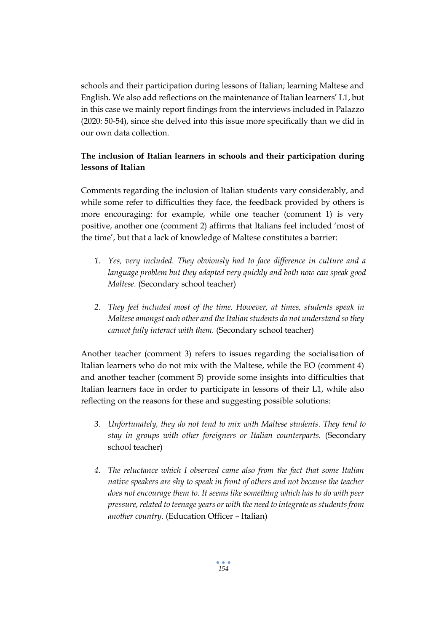schools and their participation during lessons of Italian; learning Maltese and English. We also add reflections on the maintenance of Italian learners' L1, but in this case we mainly report findings from the interviews included in Palazzo (2020: 50-54), since she delved into this issue more specifically than we did in our own data collection.

# **The inclusion of Italian learners in schools and their participation during lessons of Italian**

Comments regarding the inclusion of Italian students vary considerably, and while some refer to difficulties they face, the feedback provided by others is more encouraging: for example, while one teacher (comment 1) is very positive, another one (comment 2) affirms that Italians feel included 'most of the time', but that a lack of knowledge of Maltese constitutes a barrier:

- *1. Yes, very included. They obviously had to face difference in culture and a*  language problem but they adapted very quickly and both now can speak good *Maltese.* (Secondary school teacher)
- *2. They feel included most of the time. However, at times, students speak in Maltese amongst each other and the Italian students do not understand so they cannot fully interact with them.* (Secondary school teacher)

Another teacher (comment 3) refers to issues regarding the socialisation of Italian learners who do not mix with the Maltese, while the EO (comment 4) and another teacher (comment 5) provide some insights into difficulties that Italian learners face in order to participate in lessons of their L1, while also reflecting on the reasons for these and suggesting possible solutions:

- *3. Unfortunately, they do not tend to mix with Maltese students. They tend to stay in groups with other foreigners or Italian counterparts.* (Secondary school teacher)
- *4. The reluctance which I observed came also from the fact that some Italian native speakers are shy to speak in front of others and not because the teacher does not encourage them to. It seems like something which has to do with peer pressure, related to teenage years or with the need to integrate as students from another country.* (Education Officer – Italian)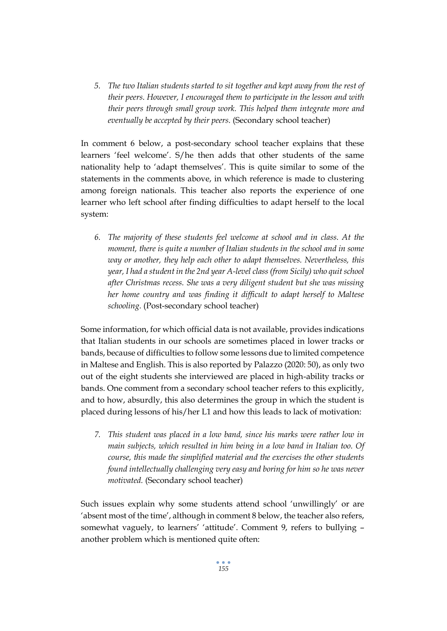*5. The two Italian students started to sit together and kept away from the rest of their peers. However, I encouraged them to participate in the lesson and with their peers through small group work. This helped them integrate more and eventually be accepted by their peers.* (Secondary school teacher)

In comment 6 below, a post-secondary school teacher explains that these learners 'feel welcome'. S/he then adds that other students of the same nationality help to 'adapt themselves'. This is quite similar to some of the statements in the comments above, in which reference is made to clustering among foreign nationals. This teacher also reports the experience of one learner who left school after finding difficulties to adapt herself to the local system:

*6. The majority of these students feel welcome at school and in class. At the moment, there is quite a number of Italian students in the school and in some way or another, they help each other to adapt themselves. Nevertheless, this year, I had a student in the 2nd year A-level class (from Sicily) who quit school after Christmas recess. She was a very diligent student but she was missing her home country and was finding it difficult to adapt herself to Maltese schooling.* (Post-secondary school teacher)

Some information, for which official data is not available, provides indications that Italian students in our schools are sometimes placed in lower tracks or bands, because of difficulties to follow some lessons due to limited competence in Maltese and English. This is also reported by Palazzo (2020: 50), as only two out of the eight students she interviewed are placed in high-ability tracks or bands. One comment from a secondary school teacher refers to this explicitly, and to how, absurdly, this also determines the group in which the student is placed during lessons of his/her L1 and how this leads to lack of motivation:

*7. This student was placed in a low band, since his marks were rather low in main subjects, which resulted in him being in a low band in Italian too. Of course, this made the simplified material and the exercises the other students found intellectually challenging very easy and boring for him so he was never motivated.* (Secondary school teacher)

Such issues explain why some students attend school 'unwillingly' or are 'absent most of the time', although in comment 8 below, the teacher also refers, somewhat vaguely, to learners' 'attitude'. Comment 9, refers to bullying – another problem which is mentioned quite often: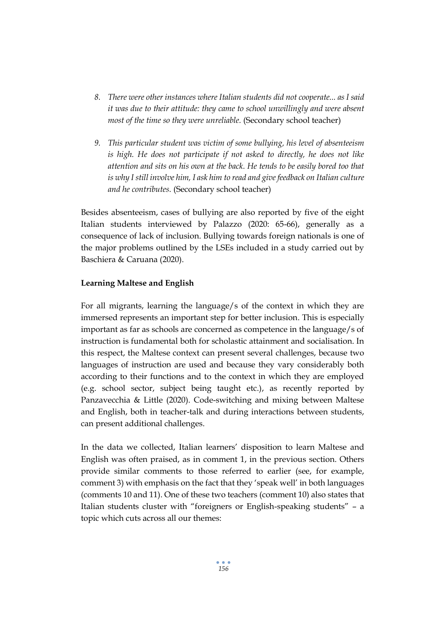- *8. There were other instances where Italian students did not cooperate... as I said it was due to their attitude: they came to school unwillingly and were absent most of the time so they were unreliable.* (Secondary school teacher)
- *9. This particular student was victim of some bullying, his level of absenteeism is high. He does not participate if not asked to directly, he does not like attention and sits on his own at the back. He tends to be easily bored too that is why I still involve him, I ask him to read and give feedback on Italian culture and he contributes.* (Secondary school teacher)

Besides absenteeism, cases of bullying are also reported by five of the eight Italian students interviewed by Palazzo (2020: 65-66), generally as a consequence of lack of inclusion. Bullying towards foreign nationals is one of the major problems outlined by the LSEs included in a study carried out by Baschiera & Caruana (2020).

# **Learning Maltese and English**

For all migrants, learning the language/s of the context in which they are immersed represents an important step for better inclusion. This is especially important as far as schools are concerned as competence in the language/s of instruction is fundamental both for scholastic attainment and socialisation. In this respect, the Maltese context can present several challenges, because two languages of instruction are used and because they vary considerably both according to their functions and to the context in which they are employed (e.g. school sector, subject being taught etc.), as recently reported by Panzavecchia & Little (2020). Code-switching and mixing between Maltese and English, both in teacher-talk and during interactions between students, can present additional challenges.

In the data we collected, Italian learners' disposition to learn Maltese and English was often praised, as in comment 1, in the previous section. Others provide similar comments to those referred to earlier (see, for example, comment 3) with emphasis on the fact that they 'speak well' in both languages (comments 10 and 11). One of these two teachers (comment 10) also states that Italian students cluster with "foreigners or English-speaking students" – a topic which cuts across all our themes: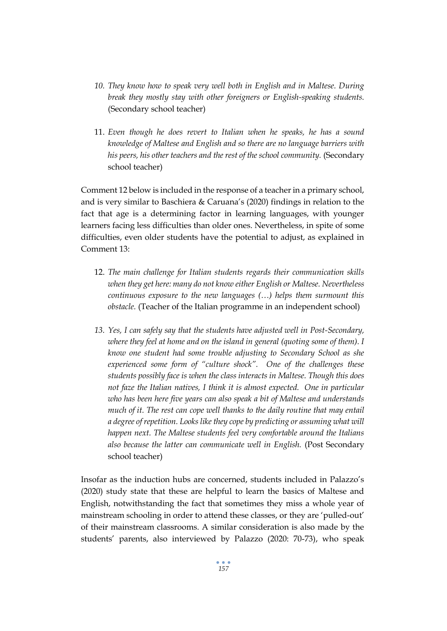- *10. They know how to speak very well both in English and in Maltese. During break they mostly stay with other foreigners or English-speaking students.*  (Secondary school teacher)
- 11. *Even though he does revert to Italian when he speaks, he has a sound knowledge of Maltese and English and so there are no language barriers with*  his peers, his other teachers and the rest of the school community. (Secondary school teacher)

Comment 12 below is included in the response of a teacher in a primary school, and is very similar to Baschiera & Caruana's (2020) findings in relation to the fact that age is a determining factor in learning languages, with younger learners facing less difficulties than older ones. Nevertheless, in spite of some difficulties, even older students have the potential to adjust, as explained in Comment 13:

- 12. *The main challenge for Italian students regards their communication skills when they get here: many do not know either English or Maltese. Nevertheless continuous exposure to the new languages (…) helps them surmount this obstacle.* (Teacher of the Italian programme in an independent school)
- *13. Yes, I can safely say that the students have adjusted well in Post-Secondary, where they feel at home and on the island in general (quoting some of them).* I *know one student had some trouble adjusting to Secondary School as she experienced some form of "culture shock". One of the challenges these students possibly face is when the class interacts in Maltese. Though this does not faze the Italian natives, I think it is almost expected. One in particular who has been here five years can also speak a bit of Maltese and understands much of it. The rest can cope well thanks to the daily routine that may entail a degree of repetition. Looks like they cope by predicting or assuming what will happen next. The Maltese students feel very comfortable around the Italians also because the latter can communicate well in English.* (Post Secondary school teacher)

Insofar as the induction hubs are concerned, students included in Palazzo's (2020) study state that these are helpful to learn the basics of Maltese and English, notwithstanding the fact that sometimes they miss a whole year of mainstream schooling in order to attend these classes, or they are 'pulled-out' of their mainstream classrooms. A similar consideration is also made by the students' parents, also interviewed by Palazzo (2020: 70-73), who speak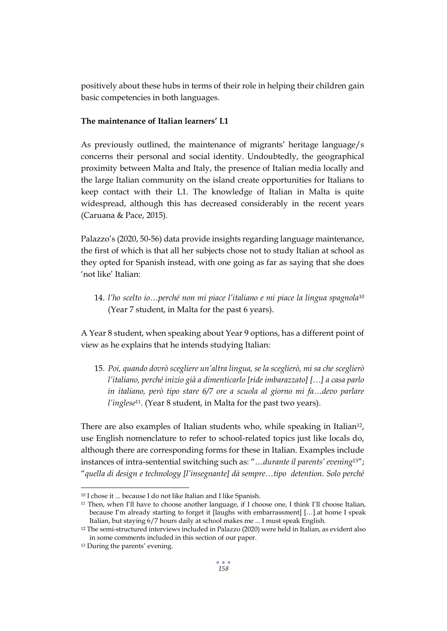positively about these hubs in terms of their role in helping their children gain basic competencies in both languages.

# **The maintenance of Italian learners' L1**

As previously outlined, the maintenance of migrants' heritage language/s concerns their personal and social identity. Undoubtedly, the geographical proximity between Malta and Italy, the presence of Italian media locally and the large Italian community on the island create opportunities for Italians to keep contact with their L1. The knowledge of Italian in Malta is quite widespread, although this has decreased considerably in the recent years (Caruana & Pace, 2015).

Palazzo's (2020, 50-56) data provide insights regarding language maintenance, the first of which is that all her subjects chose not to study Italian at school as they opted for Spanish instead, with one going as far as saying that she does 'not like' Italian:

14. *l'ho scelto io…perché non mi piace l'italiano e mi piace la lingua spagnola*<sup>10</sup> (Year 7 student, in Malta for the past 6 years).

A Year 8 student, when speaking about Year 9 options, has a different point of view as he explains that he intends studying Italian:

15. *Poi, quando dovrò scegliere un'altra lingua, se la sceglierò, mi sa che sceglierò l'italiano, perché inizio già a dimenticarlo [ride imbarazzato] […] a casa parlo in italiano, però tipo stare 6/7 ore a scuola al giorno mi fa…devo parlare l'inglese*11*.* (Year 8 student, in Malta for the past two years).

There are also examples of Italian students who, while speaking in Italian<sup>12</sup>, use English nomenclature to refer to school-related topics just like locals do, although there are corresponding forms for these in Italian. Examples include instances of intra-sentential switching such as: "…*durante il parents' evening*13"; "*quella di design e technology [l'insegnante] dà sempre…tipo detention. Solo perché* 

<sup>10</sup> I chose it ... because I do not like Italian and I like Spanish.

<sup>&</sup>lt;sup>11</sup> Then, when I'll have to choose another language, if I choose one, I think I'll choose Italian, because I'm already starting to forget it [laughs with embarrassment] […].at home I speak Italian, but staying 6/7 hours daily at school makes me ... I must speak English.

<sup>12</sup> The semi-structured interviews included in Palazzo (2020) were held in Italian, as evident also in some comments included in this section of our paper.

<sup>13</sup> During the parents' evening.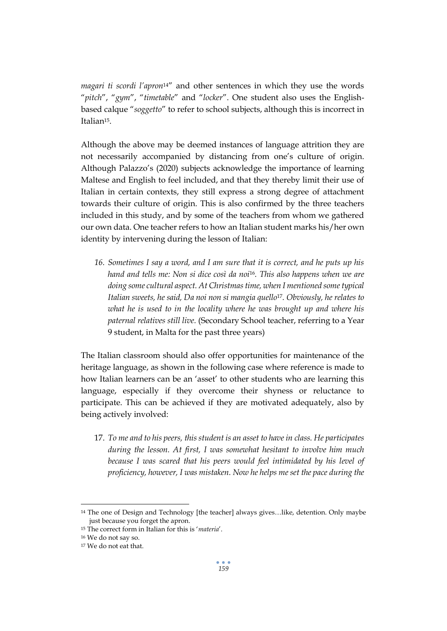*magari ti scordi l'apron*14" and other sentences in which they use the words "*pitch*", "*gym*", "*timetable*" and "*locker*". One student also uses the Englishbased calque "*soggetto*" to refer to school subjects, although this is incorrect in Italian<sup>15</sup>.

Although the above may be deemed instances of language attrition they are not necessarily accompanied by distancing from one's culture of origin. Although Palazzo's (2020) subjects acknowledge the importance of learning Maltese and English to feel included, and that they thereby limit their use of Italian in certain contexts, they still express a strong degree of attachment towards their culture of origin. This is also confirmed by the three teachers included in this study, and by some of the teachers from whom we gathered our own data. One teacher refers to how an Italian student marks his/her own identity by intervening during the lesson of Italian:

*16. Sometimes I say a word, and I am sure that it is correct, and he puts up his hand and tells me: Non si dice così da noi*16*. This also happens when we are doing some cultural aspect. At Christmas time, when I mentioned some typical Italian sweets, he said, Da noi non si mangia quello*17*. Obviously, he relates to what he is used to in the locality where he was brought up and where his paternal relatives still live.* (Secondary School teacher, referring to a Year 9 student, in Malta for the past three years)

The Italian classroom should also offer opportunities for maintenance of the heritage language, as shown in the following case where reference is made to how Italian learners can be an 'asset' to other students who are learning this language, especially if they overcome their shyness or reluctance to participate. This can be achieved if they are motivated adequately, also by being actively involved:

17. *To me and to his peers, this student is an asset to have in class. He participates during the lesson. At first, I was somewhat hesitant to involve him much because I was scared that his peers would feel intimidated by his level of proficiency, however, I was mistaken. Now he helps me set the pace during the* 

<sup>14</sup> The one of Design and Technology [the teacher] always gives…like, detention. Only maybe just because you forget the apron.

<sup>15</sup> The correct form in Italian for this is '*materia*'.

<sup>16</sup> We do not say so.

<sup>17</sup> We do not eat that.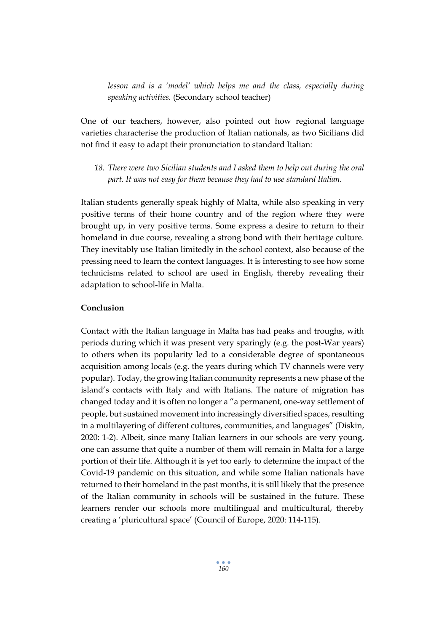*lesson and is a 'model' which helps me and the class, especially during speaking activities.* (Secondary school teacher)

One of our teachers, however, also pointed out how regional language varieties characterise the production of Italian nationals, as two Sicilians did not find it easy to adapt their pronunciation to standard Italian:

*18. There were two Sicilian students and I asked them to help out during the oral part. It was not easy for them because they had to use standard Italian.*

Italian students generally speak highly of Malta, while also speaking in very positive terms of their home country and of the region where they were brought up, in very positive terms. Some express a desire to return to their homeland in due course, revealing a strong bond with their heritage culture. They inevitably use Italian limitedly in the school context, also because of the pressing need to learn the context languages. It is interesting to see how some technicisms related to school are used in English, thereby revealing their adaptation to school-life in Malta.

# **Conclusion**

Contact with the Italian language in Malta has had peaks and troughs, with periods during which it was present very sparingly (e.g. the post-War years) to others when its popularity led to a considerable degree of spontaneous acquisition among locals (e.g. the years during which TV channels were very popular). Today, the growing Italian community represents a new phase of the island's contacts with Italy and with Italians. The nature of migration has changed today and it is often no longer a "a permanent, one-way settlement of people, but sustained movement into increasingly diversified spaces, resulting in a multilayering of different cultures, communities, and languages" (Diskin, 2020: 1-2). Albeit, since many Italian learners in our schools are very young, one can assume that quite a number of them will remain in Malta for a large portion of their life. Although it is yet too early to determine the impact of the Covid-19 pandemic on this situation, and while some Italian nationals have returned to their homeland in the past months, it is still likely that the presence of the Italian community in schools will be sustained in the future. These learners render our schools more multilingual and multicultural, thereby creating a 'pluricultural space' (Council of Europe, 2020: 114-115).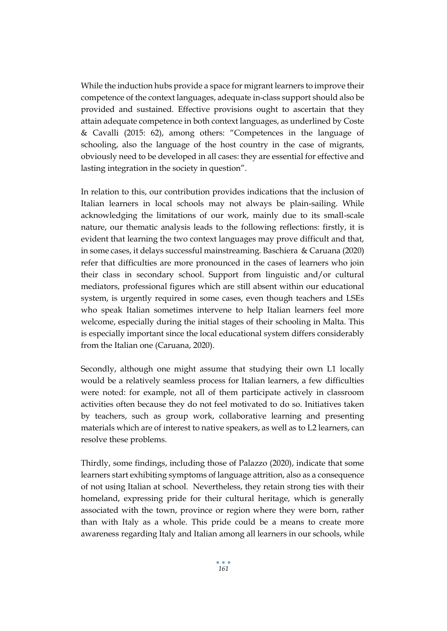While the induction hubs provide a space for migrant learners to improve their competence of the context languages, adequate in-class support should also be provided and sustained. Effective provisions ought to ascertain that they attain adequate competence in both context languages, as underlined by Coste & Cavalli (2015: 62), among others: "Competences in the language of schooling, also the language of the host country in the case of migrants, obviously need to be developed in all cases: they are essential for effective and lasting integration in the society in question".

In relation to this, our contribution provides indications that the inclusion of Italian learners in local schools may not always be plain-sailing. While acknowledging the limitations of our work, mainly due to its small-scale nature, our thematic analysis leads to the following reflections: firstly, it is evident that learning the two context languages may prove difficult and that, in some cases, it delays successful mainstreaming. Baschiera & Caruana (2020) refer that difficulties are more pronounced in the cases of learners who join their class in secondary school. Support from linguistic and/or cultural mediators, professional figures which are still absent within our educational system, is urgently required in some cases, even though teachers and LSEs who speak Italian sometimes intervene to help Italian learners feel more welcome, especially during the initial stages of their schooling in Malta. This is especially important since the local educational system differs considerably from the Italian one (Caruana, 2020).

Secondly, although one might assume that studying their own L1 locally would be a relatively seamless process for Italian learners, a few difficulties were noted: for example, not all of them participate actively in classroom activities often because they do not feel motivated to do so. Initiatives taken by teachers, such as group work, collaborative learning and presenting materials which are of interest to native speakers, as well as to L2 learners, can resolve these problems.

Thirdly, some findings, including those of Palazzo (2020), indicate that some learners start exhibiting symptoms of language attrition, also as a consequence of not using Italian at school. Nevertheless, they retain strong ties with their homeland, expressing pride for their cultural heritage, which is generally associated with the town, province or region where they were born, rather than with Italy as a whole. This pride could be a means to create more awareness regarding Italy and Italian among all learners in our schools, while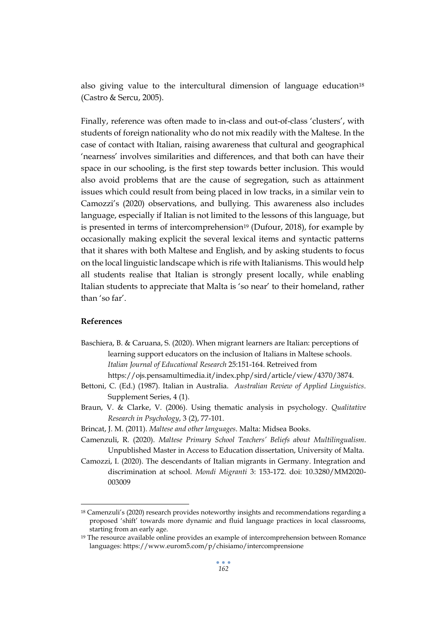also giving value to the intercultural dimension of language education $18$ (Castro & Sercu, 2005).

Finally, reference was often made to in-class and out-of-class 'clusters', with students of foreign nationality who do not mix readily with the Maltese. In the case of contact with Italian, raising awareness that cultural and geographical 'nearness' involves similarities and differences, and that both can have their space in our schooling, is the first step towards better inclusion. This would also avoid problems that are the cause of segregation, such as attainment issues which could result from being placed in low tracks, in a similar vein to Camozzi's (2020) observations, and bullying. This awareness also includes language, especially if Italian is not limited to the lessons of this language, but is presented in terms of intercomprehension<sup>19</sup> (Dufour, 2018), for example by occasionally making explicit the several lexical items and syntactic patterns that it shares with both Maltese and English, and by asking students to focus on the local linguistic landscape which is rife with Italianisms. This would help all students realise that Italian is strongly present locally, while enabling Italian students to appreciate that Malta is 'so near' to their homeland, rather than 'so far'.

#### **References**

Baschiera, B. & Caruana, S. (2020). When migrant learners are Italian: perceptions of learning support educators on the inclusion of Italians in Maltese schools*. Italian Journal of Educational Research* 25:151-164. Retreived from

https://ojs.pensamultimedia.it/index.php/sird/article/view/4370/3874.

- Bettoni, C. (Ed.) (1987). Italian in Australia. *Australian Review of Applied Linguistics*. Supplement Series, 4 (1).
- Braun, V. & Clarke, V. (2006). Using thematic analysis in psychology. *Qualitative Research in Psychology*, 3 (2), 77-101.
- Brincat, J. M. (2011). *Maltese and other languages*. Malta: Midsea Books.
- Camenzuli, R. (2020). *Maltese Primary School Teachers' Beliefs about Multilingualism*. Unpublished Master in Access to Education dissertation, University of Malta.
- Camozzi, I. (2020). The descendants of Italian migrants in Germany. Integration and discrimination at school. *Mondi Migranti* 3: 153-172. doi: 10.3280/MM2020- 003009

<sup>18</sup> Camenzuli's (2020) research provides noteworthy insights and recommendations regarding a proposed 'shift' towards more dynamic and fluid language practices in local classrooms, starting from an early age.

<sup>19</sup> The resource available online provides an example of intercomprehension between Romance languages: https://www.eurom5.com/p/chisiamo/intercomprensione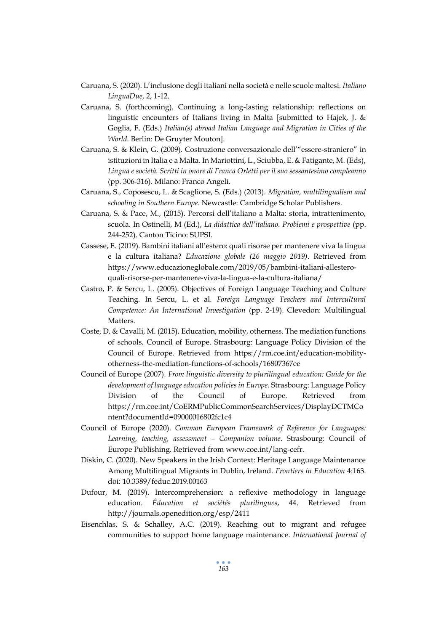- Caruana, S. (2020). L'inclusione degli italiani nella società e nelle scuole maltesi. *Italiano LinguaDue*, 2, 1-12.
- Caruana, S. (forthcoming). Continuing a long-lasting relationship: reflections on linguistic encounters of Italians living in Malta [submitted to Hajek, J. & Goglia, F. (Eds.) *Italian(s) abroad Italian Language and Migration in Cities of the World*. Berlin: De Gruyter Mouton].
- Caruana, S. & Klein, G. (2009). Costruzione conversazionale dell'"essere-straniero" in istituzioni in Italia e a Malta. In Mariottini, L., Sciubba, E. & Fatigante, M. (Eds), *Lingua e società. Scritti in onore di Franca Orletti per il suo sessantesimo compleanno*  (pp. 306-316). Milano: Franco Angeli.
- Caruana, S., Coposescu, L. & Scaglione, S. (Eds.) (2013). *Migration, multilingualism and schooling in Southern Europe*. Newcastle: Cambridge Scholar Publishers.
- Caruana, S. & Pace, M., (2015). Percorsi dell'italiano a Malta: storia, intrattenimento, scuola. In Ostinelli, M (Ed.), *La didattica dell'italiano. Problemi e prospettive* (pp. 244-252). Canton Ticino: SUPSI.
- Cassese, E. (2019). Bambini italiani all'estero: quali risorse per mantenere viva la lingua e la cultura italiana? *Educazione globale (26 maggio 2019)*. Retrieved from https://www.educazioneglobale.com/2019/05/bambini-italiani-allesteroquali-risorse-per-mantenere-viva-la-lingua-e-la-cultura-italiana/
- Castro, P. & Sercu, L. (2005). Objectives of Foreign Language Teaching and Culture Teaching. In Sercu, L. et al. *Foreign Language Teachers and Intercultural Competence: An International Investigation* (pp. 2-19). Clevedon: Multilingual Matters.
- Coste, D. & Cavalli, M. (2015). Education, mobility, otherness. The mediation functions of schools. Council of Europe. Strasbourg: Language Policy Division of the Council of Europe. Retrieved from https://rm.coe.int/education-mobilityotherness-the-mediation-functions-of-schools/16807367ee
- Council of Europe (2007). *From linguistic diversity to plurilingual education: Guide for the development of language education policies in Europe*. Strasbourg: Language Policy Division of the Council of Europe. Retrieved from https://rm.coe.int/CoERMPublicCommonSearchServices/DisplayDCTMCo ntent?documentId=09000016802fc1c4
- Council of Europe (2020). *Common European Framework of Reference for Languages: Learning, teaching, assessment – Companion volume*. Strasbourg: Council of Europe Publishing. Retrieved from www.coe.int/lang-cefr.
- Diskin, C. (2020). New Speakers in the Irish Context: Heritage Language Maintenance Among Multilingual Migrants in Dublin, Ireland. *Frontiers in Education* 4:163. doi: 10.3389/feduc.2019.00163
- Dufour, M. (2019). Intercomprehension: a reflexive methodology in language education. *Éducation et sociétés plurilingues*, 44. Retrieved from http://journals.openedition.org/esp/2411
- Eisenchlas, S. & Schalley, A.C. (2019). Reaching out to migrant and refugee communities to support home language maintenance. *International Journal of*